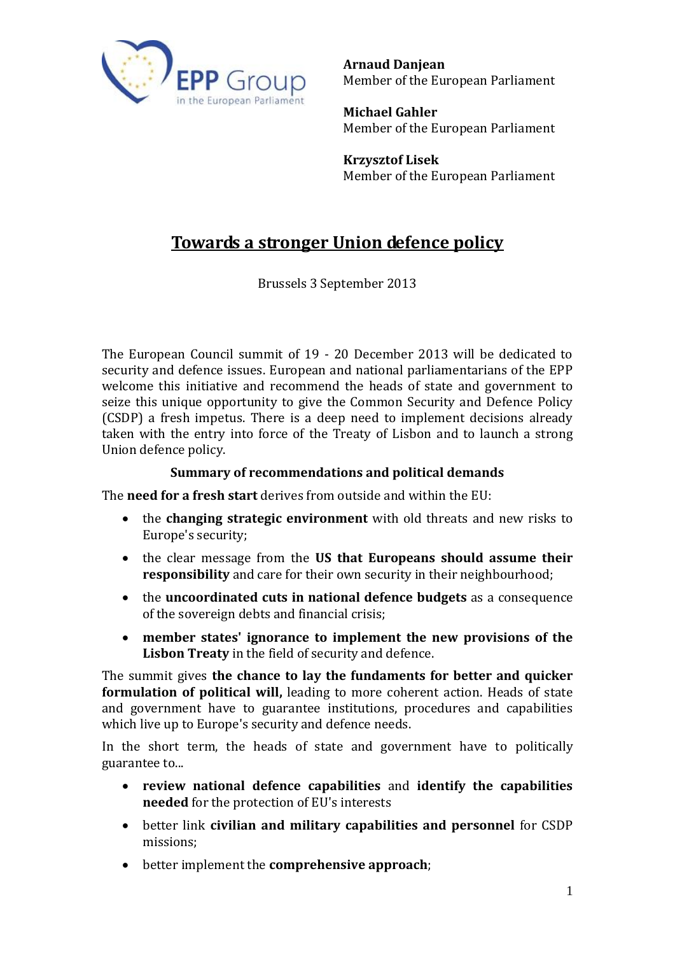

**Arnaud Danjean** Member of the European Parliament

**Michael Gahler**  Member of the European Parliament

**Krzysztof Lisek** Member of the European Parliament

# **Towards a stronger Union defence policy**

Brussels 3 September 2013

The European Council summit of 19 - 20 December 2013 will be dedicated to security and defence issues. European and national parliamentarians of the EPP welcome this initiative and recommend the heads of state and government to seize this unique opportunity to give the Common Security and Defence Policy (CSDP) a fresh impetus. There is a deep need to implement decisions already taken with the entry into force of the Treaty of Lisbon and to launch a strong Union defence policy.

#### **Summary of recommendations and political demands**

The **need for a fresh start** derives from outside and within the EU:

- the **changing strategic environment** with old threats and new risks to Europe's security;
- the clear message from the **US that Europeans should assume their responsibility** and care for their own security in their neighbourhood;
- the **uncoordinated cuts in national defence budgets** as a consequence of the sovereign debts and financial crisis;
- **member states' ignorance to implement the new provisions of the Lisbon Treaty** in the field of security and defence.

The summit gives **the chance to lay the fundaments for better and quicker formulation of political will,** leading to more coherent action. Heads of state and government have to guarantee institutions, procedures and capabilities which live up to Europe's security and defence needs.

In the short term, the heads of state and government have to politically guarantee to...

- **review national defence capabilities** and **identify the capabilities needed** for the protection of EU's interests
- better link **civilian and military capabilities and personnel** for CSDP missions;
- better implement the **comprehensive approach**;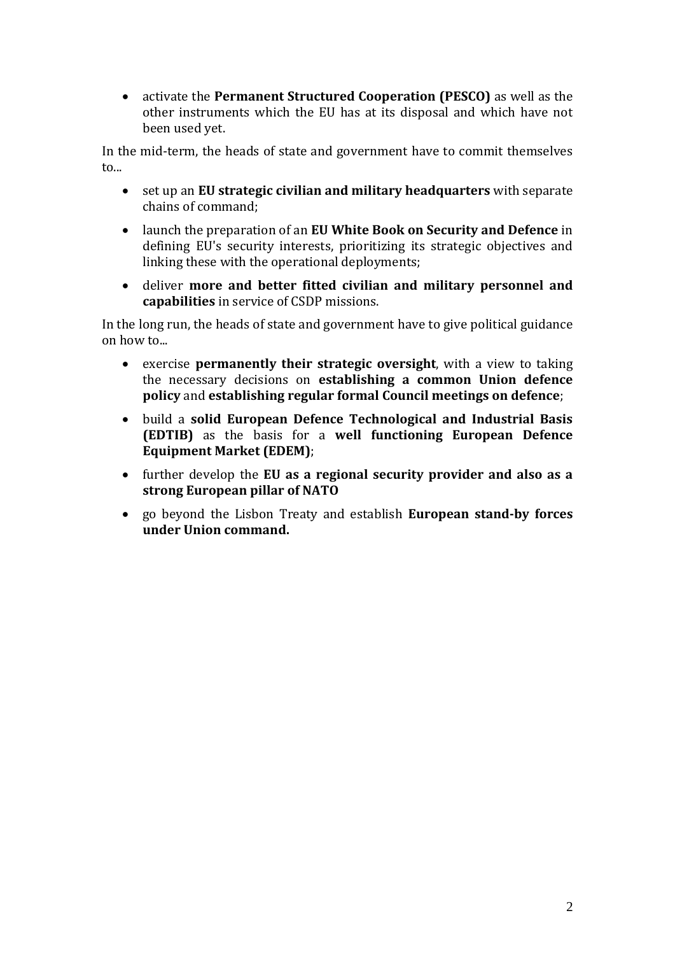activate the **Permanent Structured Cooperation (PESCO)** as well as the other instruments which the EU has at its disposal and which have not been used yet.

In the mid-term, the heads of state and government have to commit themselves to...

- set up an **EU strategic civilian and military headquarters** with separate chains of command;
- launch the preparation of an **EU White Book on Security and Defence** in defining EU's security interests, prioritizing its strategic objectives and linking these with the operational deployments;
- deliver **more and better fitted civilian and military personnel and capabilities** in service of CSDP missions.

In the long run, the heads of state and government have to give political guidance on how to...

- exercise **permanently their strategic oversight**, with a view to taking the necessary decisions on **establishing a common Union defence policy** and **establishing regular formal Council meetings on defence**;
- build a **solid European Defence Technological and Industrial Basis (EDTIB)** as the basis for a **well functioning European Defence Equipment Market (EDEM)**;
- further develop the **EU as a regional security provider and also as a strong European pillar of NATO**
- go beyond the Lisbon Treaty and establish **European stand-by forces under Union command.**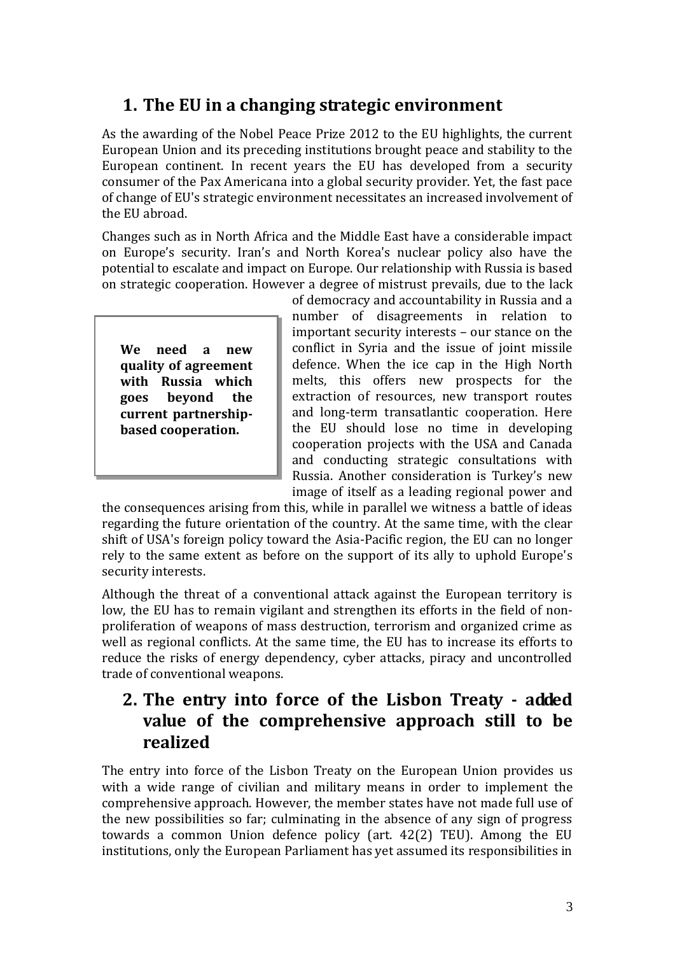# **1. The EU in a changing strategic environment**

As the awarding of the Nobel Peace Prize 2012 to the EU highlights, the current European Union and its preceding institutions brought peace and stability to the European continent. In recent years the EU has developed from a security consumer of the Pax Americana into a global security provider. Yet, the fast pace of change of EU's strategic environment necessitates an increased involvement of the EU abroad.

Changes such as in North Africa and the Middle East have a considerable impact on Europe's security. Iran's and North Korea's nuclear policy also have the potential to escalate and impact on Europe. Our relationship with Russia is based on strategic cooperation. However a degree of mistrust prevails, due to the lack

**We need a new quality of agreement with Russia which goes beyond the current partnershipbased cooperation.**

of democracy and accountability in Russia and a number of disagreements in relation to important security interests – our stance on the conflict in Syria and the issue of joint missile defence. When the ice cap in the High North melts, this offers new prospects for the extraction of resources, new transport routes and long-term transatlantic cooperation. Here the EU should lose no time in developing cooperation projects with the USA and Canada and conducting strategic consultations with Russia. Another consideration is Turkey's new image of itself as a leading regional power and

the consequences arising from this, while in parallel we witness a battle of ideas regarding the future orientation of the country. At the same time, with the clear shift of USA's foreign policy toward the Asia-Pacific region, the EU can no longer rely to the same extent as before on the support of its ally to uphold Europe's security interests.

Although the threat of a conventional attack against the European territory is low, the EU has to remain vigilant and strengthen its efforts in the field of nonproliferation of weapons of mass destruction, terrorism and organized crime as well as regional conflicts. At the same time, the EU has to increase its efforts to reduce the risks of energy dependency, cyber attacks, piracy and uncontrolled trade of conventional weapons.

## **2. The entry into force of the Lisbon Treaty - added value of the comprehensive approach still to be realized**

The entry into force of the Lisbon Treaty on the European Union provides us with a wide range of civilian and military means in order to implement the comprehensive approach. However, the member states have not made full use of the new possibilities so far; culminating in the absence of any sign of progress towards a common Union defence policy (art. 42(2) TEU). Among the EU institutions, only the European Parliament has yet assumed its responsibilities in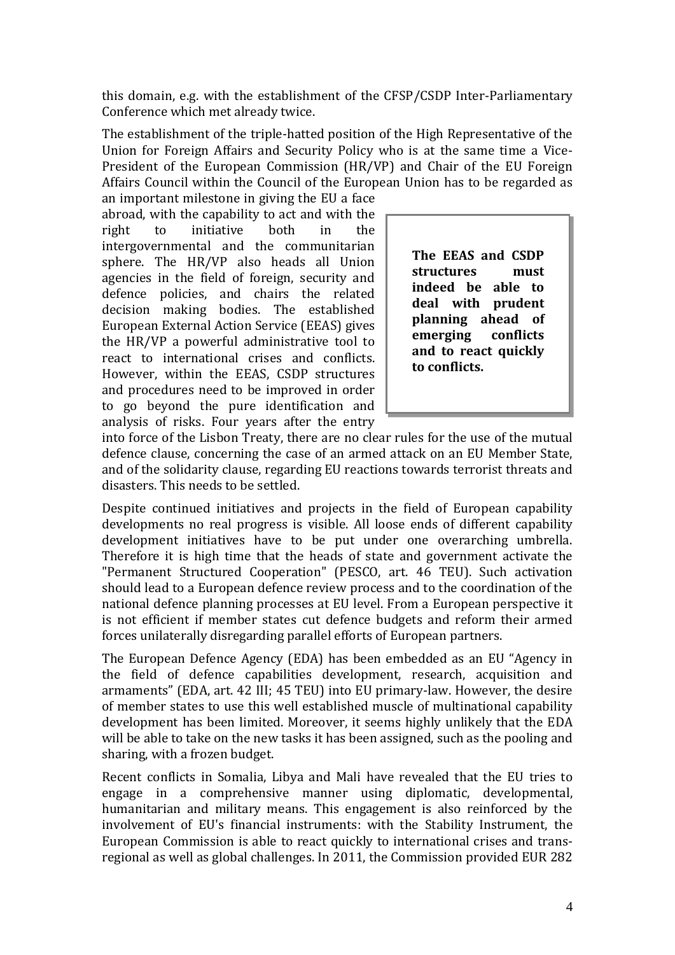this domain, e.g. with the establishment of the CFSP/CSDP Inter-Parliamentary Conference which met already twice.

The establishment of the triple-hatted position of the High Representative of the Union for Foreign Affairs and Security Policy who is at the same time a Vice-President of the European Commission (HR/VP) and Chair of the EU Foreign Affairs Council within the Council of the European Union has to be regarded as

an important milestone in giving the EU a face abroad, with the capability to act and with the right to initiative both in the intergovernmental and the communitarian sphere. The HR/VP also heads all Union agencies in the field of foreign, security and defence policies, and chairs the related decision making bodies. The established European External Action Service (EEAS) gives the HR/VP a powerful administrative tool to react to international crises and conflicts. However, within the EEAS, CSDP structures and procedures need to be improved in order to go beyond the pure identification and analysis of risks. Four years after the entry

**The EEAS and CSDP structures must indeed be able to deal with prudent planning ahead of emerging conflicts and to react quickly to conflicts.**

into force of the Lisbon Treaty, there are no clear rules for the use of the mutual defence clause, concerning the case of an armed attack on an EU Member State, and of the solidarity clause, regarding EU reactions towards terrorist threats and disasters. This needs to be settled.

Despite continued initiatives and projects in the field of European capability developments no real progress is visible. All loose ends of different capability development initiatives have to be put under one overarching umbrella. Therefore it is high time that the heads of state and government activate the "Permanent Structured Cooperation" (PESCO, art. 46 TEU). Such activation should lead to a European defence review process and to the coordination of the national defence planning processes at EU level. From a European perspective it is not efficient if member states cut defence budgets and reform their armed forces unilaterally disregarding parallel efforts of European partners.

The European Defence Agency (EDA) has been embedded as an EU "Agency in the field of defence capabilities development, research, acquisition and armaments" (EDA, art. 42 III; 45 TEU) into EU primary-law. However, the desire of member states to use this well established muscle of multinational capability development has been limited. Moreover, it seems highly unlikely that the EDA will be able to take on the new tasks it has been assigned, such as the pooling and sharing, with a frozen budget.

Recent conflicts in Somalia, Libya and Mali have revealed that the EU tries to engage in a comprehensive manner using diplomatic, developmental, humanitarian and military means. This engagement is also reinforced by the involvement of EU's financial instruments: with the Stability Instrument, the European Commission is able to react quickly to international crises and transregional as well as global challenges. In 2011, the Commission provided EUR 282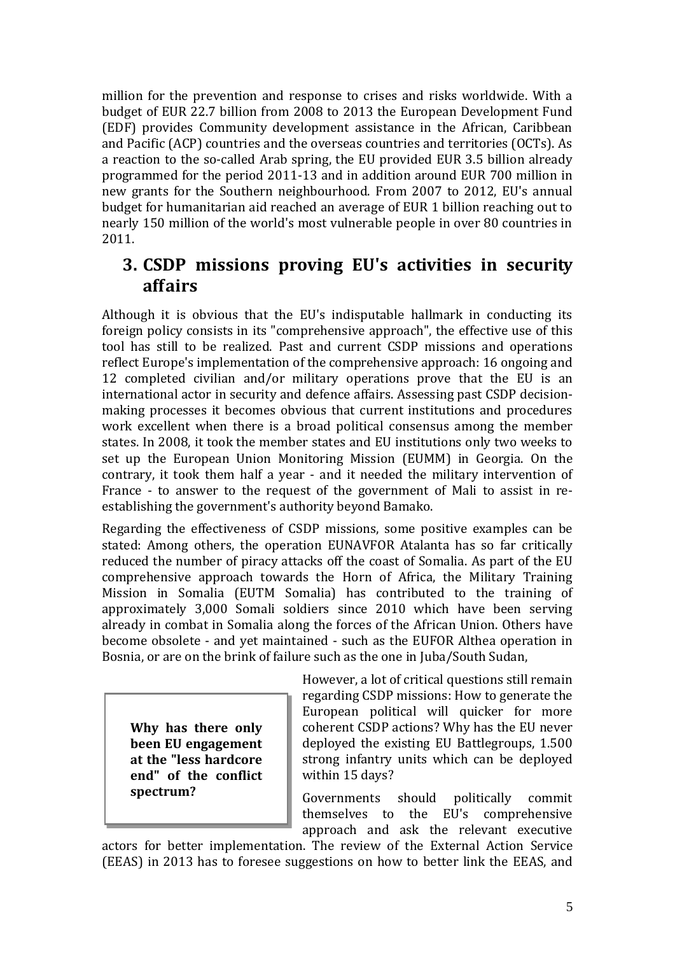million for the prevention and response to crises and risks worldwide. With a budget of EUR 22.7 billion from 2008 to 2013 the European Development Fund (EDF) provides Community development assistance in the African, Caribbean and Pacific (ACP) countries and the overseas countries and territories (OCTs). As a reaction to the so-called Arab spring, the EU provided EUR 3.5 billion already programmed for the period 2011-13 and in addition around EUR 700 million in new grants for the Southern neighbourhood. From 2007 to 2012, EU's annual budget for humanitarian aid reached an average of EUR 1 billion reaching out to nearly 150 million of the world's most vulnerable people in over 80 countries in 2011.

### **3. CSDP missions proving EU's activities in security affairs**

Although it is obvious that the EU's indisputable hallmark in conducting its foreign policy consists in its "comprehensive approach", the effective use of this tool has still to be realized. Past and current CSDP missions and operations reflect Europe's implementation of the comprehensive approach: 16 ongoing and 12 completed civilian and/or military operations prove that the EU is an international actor in security and defence affairs. Assessing past CSDP decisionmaking processes it becomes obvious that current institutions and procedures work excellent when there is a broad political consensus among the member states. In 2008, it took the member states and EU institutions only two weeks to set up the European Union Monitoring Mission (EUMM) in Georgia. On the contrary, it took them half a year - and it needed the military intervention of France - to answer to the request of the government of Mali to assist in reestablishing the government's authority beyond Bamako.

Regarding the effectiveness of CSDP missions, some positive examples can be stated: Among others, the operation EUNAVFOR Atalanta has so far critically reduced the number of piracy attacks off the coast of Somalia. As part of the EU comprehensive approach towards the Horn of Africa, the Military Training Mission in Somalia (EUTM Somalia) has contributed to the training of approximately 3,000 Somali soldiers since 2010 which have been serving already in combat in Somalia along the forces of the African Union. Others have become obsolete - and yet maintained - such as the EUFOR Althea operation in Bosnia, or are on the brink of failure such as the one in Juba/South Sudan,

**Why has there only been EU engagement at the "less hardcore end" of the conflict spectrum?**

However, a lot of critical questions still remain regarding CSDP missions: How to generate the European political will quicker for more coherent CSDP actions? Why has the EU never deployed the existing EU Battlegroups, 1.500 strong infantry units which can be deployed within 15 days?

Governments should politically commit themselves to the EU's comprehensive approach and ask the relevant executive

actors for better implementation. The review of the External Action Service (EEAS) in 2013 has to foresee suggestions on how to better link the EEAS, and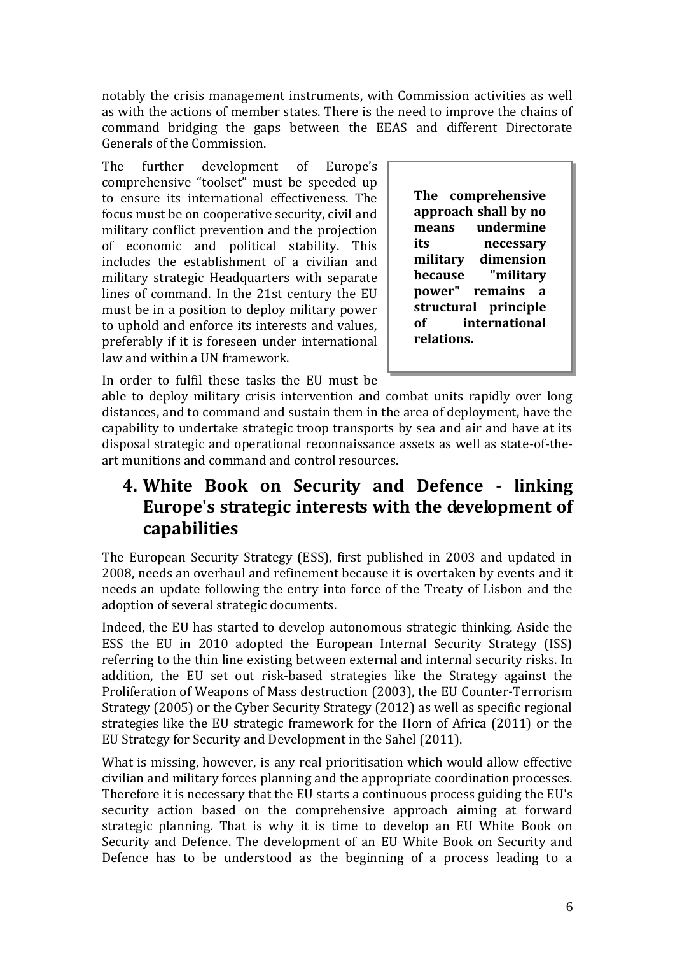notably the crisis management instruments, with Commission activities as well as with the actions of member states. There is the need to improve the chains of command bridging the gaps between the EEAS and different Directorate Generals of the Commission.

The further development of Europe's comprehensive "toolset" must be speeded up to ensure its international effectiveness. The focus must be on cooperative security, civil and military conflict prevention and the projection of economic and political stability. This includes the establishment of a civilian and military strategic Headquarters with separate lines of command. In the 21st century the EU must be in a position to deploy military power to uphold and enforce its interests and values, preferably if it is foreseen under international law and within a UN framework.

**The comprehensive approach shall by no means undermine its necessary military dimension because "military power" remains a structural principle of international relations.**

In order to fulfil these tasks the EU must be

able to deploy military crisis intervention and combat units rapidly over long distances, and to command and sustain them in the area of deployment, have the capability to undertake strategic troop transports by sea and air and have at its disposal strategic and operational reconnaissance assets as well as state-of-theart munitions and command and control resources.

# **4. White Book on Security and Defence - linking Europe's strategic interests with the development of capabilities**

The European Security Strategy (ESS), first published in 2003 and updated in 2008, needs an overhaul and refinement because it is overtaken by events and it needs an update following the entry into force of the Treaty of Lisbon and the adoption of several strategic documents.

Indeed, the EU has started to develop autonomous strategic thinking. Aside the ESS the EU in 2010 adopted the European Internal Security Strategy (ISS) referring to the thin line existing between external and internal security risks. In addition, the EU set out risk-based strategies like the Strategy against the Proliferation of Weapons of Mass destruction (2003), the EU Counter-Terrorism Strategy (2005) or the Cyber Security Strategy (2012) as well as specific regional strategies like the EU strategic framework for the Horn of Africa (2011) or the EU Strategy for Security and Development in the Sahel (2011).

What is missing, however, is any real prioritisation which would allow effective civilian and military forces planning and the appropriate coordination processes. Therefore it is necessary that the EU starts a continuous process guiding the EU's security action based on the comprehensive approach aiming at forward strategic planning. That is why it is time to develop an EU White Book on Security and Defence. The development of an EU White Book on Security and Defence has to be understood as the beginning of a process leading to a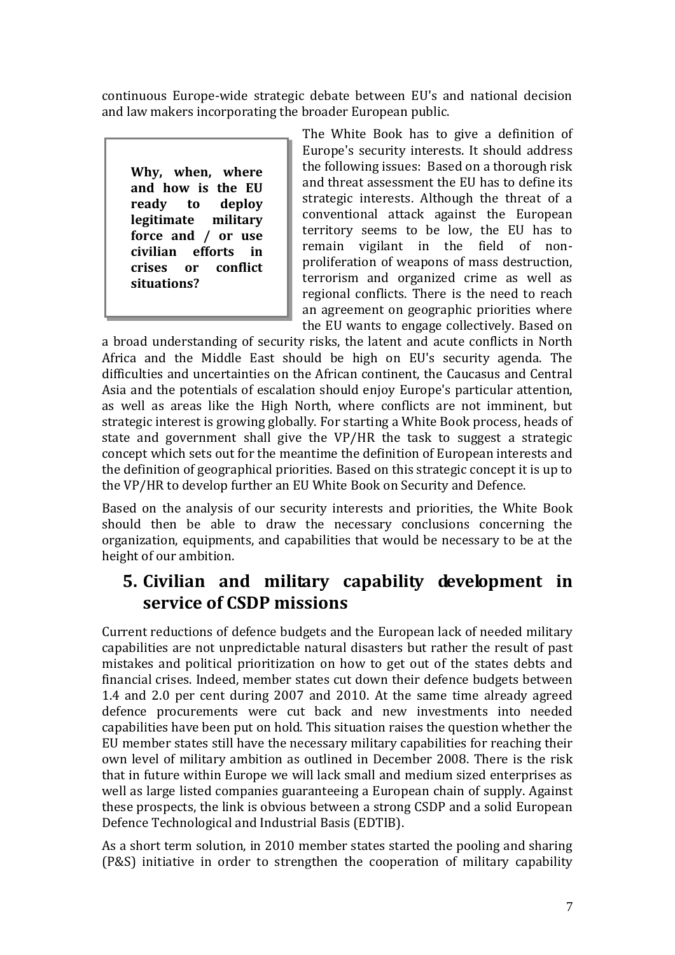continuous Europe-wide strategic debate between EU's and national decision and law makers incorporating the broader European public.

**Why, when, where and how is the EU ready to deploy legitimate military force and / or use civilian efforts in crises or conflict situations?**

The White Book has to give a definition of Europe's security interests. It should address the following issues: Based on a thorough risk and threat assessment the EU has to define its strategic interests. Although the threat of a conventional attack against the European territory seems to be low, the EU has to remain vigilant in the field of nonproliferation of weapons of mass destruction, terrorism and organized crime as well as regional conflicts. There is the need to reach an agreement on geographic priorities where the EU wants to engage collectively. Based on

a broad understanding of security risks, the latent and acute conflicts in North Africa and the Middle East should be high on EU's security agenda. The difficulties and uncertainties on the African continent, the Caucasus and Central Asia and the potentials of escalation should enjoy Europe's particular attention, as well as areas like the High North, where conflicts are not imminent, but strategic interest is growing globally. For starting a White Book process, heads of state and government shall give the VP/HR the task to suggest a strategic concept which sets out for the meantime the definition of European interests and the definition of geographical priorities. Based on this strategic concept it is up to the VP/HR to develop further an EU White Book on Security and Defence.

Based on the analysis of our security interests and priorities, the White Book should then be able to draw the necessary conclusions concerning the organization, equipments, and capabilities that would be necessary to be at the height of our ambition.

# **5. Civilian and military capability development in service of CSDP missions**

Current reductions of defence budgets and the European lack of needed military capabilities are not unpredictable natural disasters but rather the result of past mistakes and political prioritization on how to get out of the states debts and financial crises. Indeed, member states cut down their defence budgets between 1.4 and 2.0 per cent during 2007 and 2010. At the same time already agreed defence procurements were cut back and new investments into needed capabilities have been put on hold. This situation raises the question whether the EU member states still have the necessary military capabilities for reaching their own level of military ambition as outlined in December 2008. There is the risk that in future within Europe we will lack small and medium sized enterprises as well as large listed companies guaranteeing a European chain of supply. Against these prospects, the link is obvious between a strong CSDP and a solid European Defence Technological and Industrial Basis (EDTIB).

As a short term solution, in 2010 member states started the pooling and sharing (P&S) initiative in order to strengthen the cooperation of military capability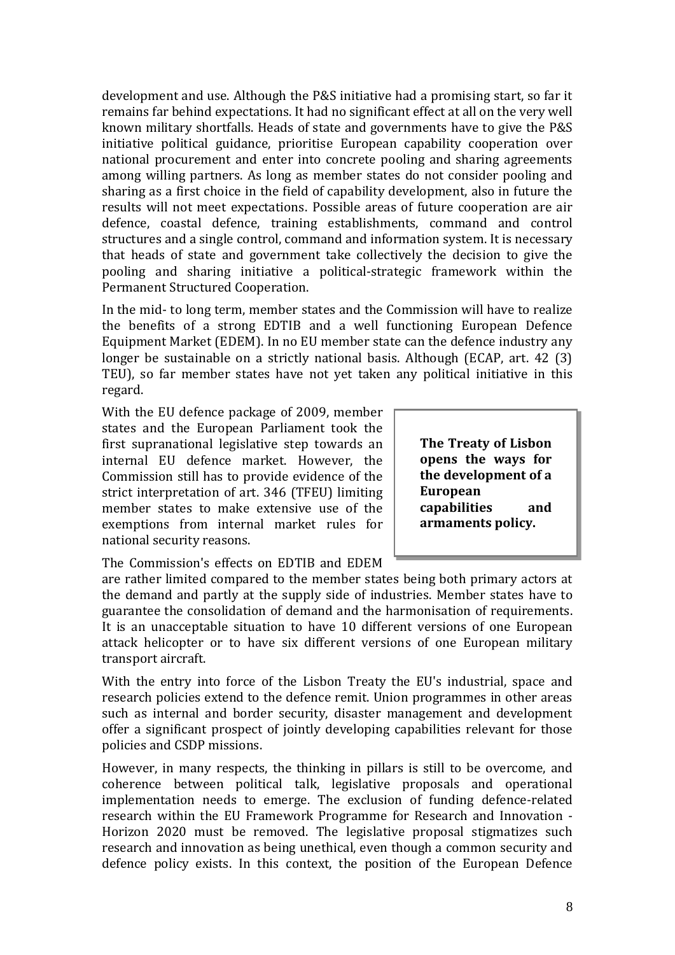development and use. Although the P&S initiative had a promising start, so far it remains far behind expectations. It had no significant effect at all on the very well known military shortfalls. Heads of state and governments have to give the P&S initiative political guidance, prioritise European capability cooperation over national procurement and enter into concrete pooling and sharing agreements among willing partners. As long as member states do not consider pooling and sharing as a first choice in the field of capability development, also in future the results will not meet expectations. Possible areas of future cooperation are air defence, coastal defence, training establishments, command and control structures and a single control, command and information system. It is necessary that heads of state and government take collectively the decision to give the pooling and sharing initiative a political-strategic framework within the Permanent Structured Cooperation.

In the mid- to long term, member states and the Commission will have to realize the benefits of a strong EDTIB and a well functioning European Defence Equipment Market (EDEM). In no EU member state can the defence industry any longer be sustainable on a strictly national basis. Although (ECAP, art. 42 (3) TEU), so far member states have not yet taken any political initiative in this regard.

With the EU defence package of 2009, member states and the European Parliament took the first supranational legislative step towards an internal EU defence market. However, the Commission still has to provide evidence of the strict interpretation of art. 346 (TFEU) limiting member states to make extensive use of the exemptions from internal market rules for national security reasons.

**The Treaty of Lisbon opens the ways for the development of a European capabilities and armaments policy.**

The Commission's effects on EDTIB and EDEM

are rather limited compared to the member states being both primary actors at the demand and partly at the supply side of industries. Member states have to guarantee the consolidation of demand and the harmonisation of requirements. It is an unacceptable situation to have 10 different versions of one European attack helicopter or to have six different versions of one European military transport aircraft.

With the entry into force of the Lisbon Treaty the EU's industrial, space and research policies extend to the defence remit. Union programmes in other areas such as internal and border security, disaster management and development offer a significant prospect of jointly developing capabilities relevant for those policies and CSDP missions.

However, in many respects, the thinking in pillars is still to be overcome, and coherence between political talk, legislative proposals and operational implementation needs to emerge. The exclusion of funding defence-related research within the EU Framework Programme for Research and Innovation - Horizon 2020 must be removed. The legislative proposal stigmatizes such research and innovation as being unethical, even though a common security and defence policy exists. In this context, the position of the European Defence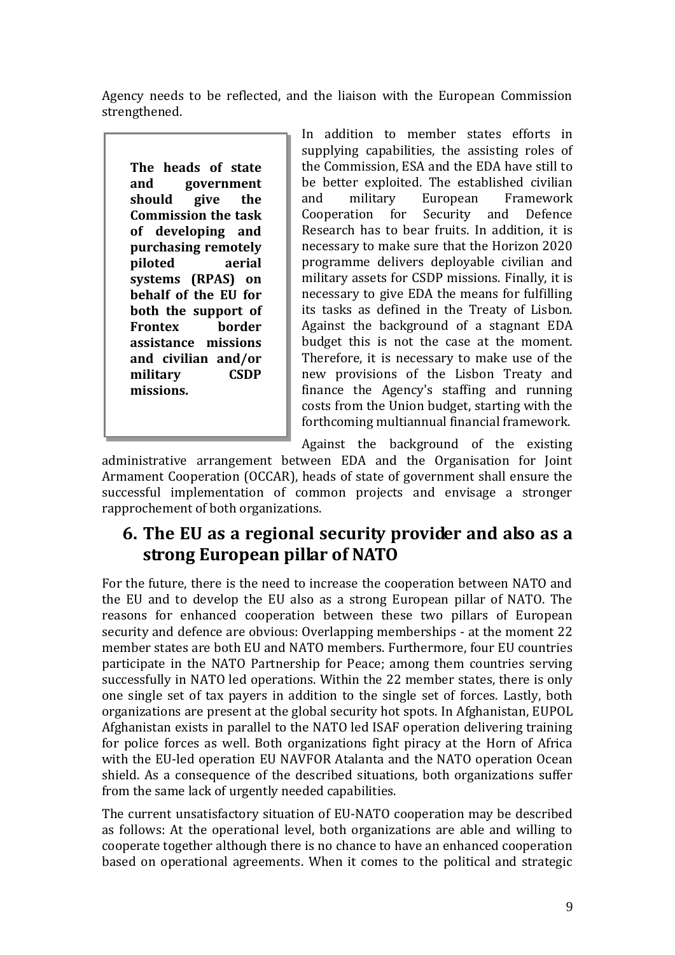Agency needs to be reflected, and the liaison with the European Commission strengthened.

**The heads of state and government should give the Commission the task of developing and purchasing remotely piloted aerial systems (RPAS) on behalf of the EU for both the support of Frontex border assistance missions and civilian and/or military CSDP missions.** 

In addition to member states efforts in supplying capabilities, the assisting roles of the Commission, ESA and the EDA have still to be better exploited. The established civilian and military European Framework Cooperation for Security and Defence Research has to bear fruits. In addition, it is necessary to make sure that the Horizon 2020 programme delivers deployable civilian and military assets for CSDP missions. Finally, it is necessary to give EDA the means for fulfilling its tasks as defined in the Treaty of Lisbon. Against the background of a stagnant EDA budget this is not the case at the moment. Therefore, it is necessary to make use of the new provisions of the Lisbon Treaty and finance the Agency's staffing and running costs from the Union budget, starting with the forthcoming multiannual financial framework.

Against the background of the existing

administrative arrangement between EDA and the Organisation for Joint Armament Cooperation (OCCAR), heads of state of government shall ensure the successful implementation of common projects and envisage a stronger rapprochement of both organizations.

### **6. The EU as a regional security provider and also as a strong European pillar of NATO**

For the future, there is the need to increase the cooperation between NATO and the EU and to develop the EU also as a strong European pillar of NATO. The reasons for enhanced cooperation between these two pillars of European security and defence are obvious: Overlapping memberships - at the moment 22 member states are both EU and NATO members. Furthermore, four EU countries participate in the NATO Partnership for Peace; among them countries serving successfully in NATO led operations. Within the 22 member states, there is only one single set of tax payers in addition to the single set of forces. Lastly, both organizations are present at the global security hot spots. In Afghanistan, EUPOL Afghanistan exists in parallel to the NATO led ISAF operation delivering training for police forces as well. Both organizations fight piracy at the Horn of Africa with the EU-led operation EU NAVFOR Atalanta and the NATO operation Ocean shield. As a consequence of the described situations, both organizations suffer from the same lack of urgently needed capabilities.

The current unsatisfactory situation of EU-NATO cooperation may be described as follows: At the operational level, both organizations are able and willing to cooperate together although there is no chance to have an enhanced cooperation based on operational agreements. When it comes to the political and strategic